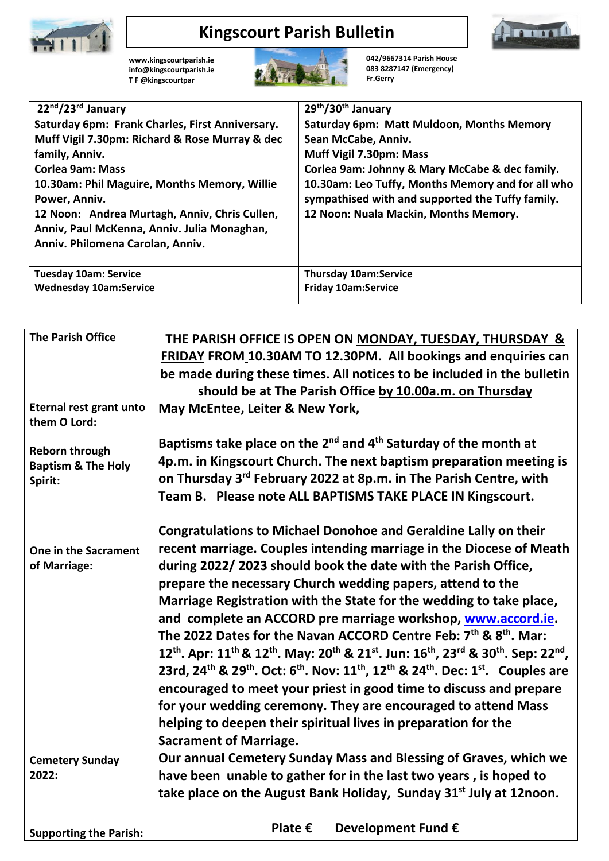

## **Kingscourt Parish Bulletin**



**[www.kingscourtparish.ie](http://www.kingscourtparish.ie/) info@kingscourtparish.ie T F @kingscourtpar** 



**042/9667314 Parish House 083 8287147 (Emergency) Fr.Gerry**

| 22nd/23rd January                               | 29th/30th January                                 |
|-------------------------------------------------|---------------------------------------------------|
| Saturday 6pm: Frank Charles, First Anniversary. | Saturday 6pm: Matt Muldoon, Months Memory         |
| Muff Vigil 7.30pm: Richard & Rose Murray & dec  | Sean McCabe, Anniv.                               |
| family, Anniv.                                  | Muff Vigil 7.30pm: Mass                           |
| <b>Corlea 9am: Mass</b>                         | Corlea 9am: Johnny & Mary McCabe & dec family.    |
| 10.30am: Phil Maguire, Months Memory, Willie    | 10.30am: Leo Tuffy, Months Memory and for all who |
| Power, Anniv.                                   | sympathised with and supported the Tuffy family.  |
| 12 Noon: Andrea Murtagh, Anniv, Chris Cullen,   | 12 Noon: Nuala Mackin, Months Memory.             |
| Anniv, Paul McKenna, Anniv. Julia Monaghan,     |                                                   |
| Anniv. Philomena Carolan, Anniv.                |                                                   |
|                                                 |                                                   |
| <b>Tuesday 10am: Service</b>                    | <b>Thursday 10am:Service</b>                      |
| <b>Wednesday 10am:Service</b>                   | <b>Friday 10am:Service</b>                        |

| <b>The Parish Office</b>                | THE PARISH OFFICE IS OPEN ON MONDAY, TUESDAY, THURSDAY &<br>FRIDAY FROM 10.30AM TO 12.30PM. All bookings and enquiries can                                                                     |  |
|-----------------------------------------|------------------------------------------------------------------------------------------------------------------------------------------------------------------------------------------------|--|
|                                         | be made during these times. All notices to be included in the bulletin                                                                                                                         |  |
|                                         | should be at The Parish Office by 10.00a.m. on Thursday                                                                                                                                        |  |
| Eternal rest grant unto<br>them O Lord: | May McEntee, Leiter & New York,                                                                                                                                                                |  |
| <b>Reborn through</b>                   | Baptisms take place on the 2 <sup>nd</sup> and 4 <sup>th</sup> Saturday of the month at                                                                                                        |  |
| <b>Baptism &amp; The Holy</b>           | 4p.m. in Kingscourt Church. The next baptism preparation meeting is                                                                                                                            |  |
| Spirit:                                 | on Thursday 3rd February 2022 at 8p.m. in The Parish Centre, with                                                                                                                              |  |
|                                         | Team B. Please note ALL BAPTISMS TAKE PLACE IN Kingscourt.                                                                                                                                     |  |
|                                         | <b>Congratulations to Michael Donohoe and Geraldine Lally on their</b>                                                                                                                         |  |
| One in the Sacrament                    | recent marriage. Couples intending marriage in the Diocese of Meath                                                                                                                            |  |
| of Marriage:                            | during 2022/2023 should book the date with the Parish Office,                                                                                                                                  |  |
|                                         | prepare the necessary Church wedding papers, attend to the                                                                                                                                     |  |
|                                         | Marriage Registration with the State for the wedding to take place,                                                                                                                            |  |
|                                         | and complete an ACCORD pre marriage workshop, www.accord.ie.                                                                                                                                   |  |
|                                         | The 2022 Dates for the Navan ACCORD Centre Feb: 7 <sup>th</sup> & 8 <sup>th</sup> . Mar:                                                                                                       |  |
|                                         | 12 <sup>th</sup> . Apr: 11 <sup>th</sup> & 12 <sup>th</sup> . May: 20 <sup>th</sup> & 21 <sup>st</sup> . Jun: 16 <sup>th</sup> , 23 <sup>rd</sup> & 30 <sup>th</sup> . Sep: 22 <sup>nd</sup> , |  |
|                                         | 23rd, 24 <sup>th</sup> & 29 <sup>th</sup> . Oct: 6 <sup>th</sup> . Nov: 11 <sup>th</sup> , 12 <sup>th</sup> & 24 <sup>th</sup> . Dec: 1 <sup>st</sup> . Couples are                            |  |
|                                         | encouraged to meet your priest in good time to discuss and prepare                                                                                                                             |  |
|                                         | for your wedding ceremony. They are encouraged to attend Mass                                                                                                                                  |  |
|                                         | helping to deepen their spiritual lives in preparation for the                                                                                                                                 |  |
|                                         | <b>Sacrament of Marriage.</b>                                                                                                                                                                  |  |
| <b>Cemetery Sunday</b><br>2022:         | Our annual Cemetery Sunday Mass and Blessing of Graves, which we<br>have been unable to gather for in the last two years, is hoped to                                                          |  |
|                                         | take place on the August Bank Holiday, Sunday 31 <sup>st</sup> July at 12noon.                                                                                                                 |  |
|                                         |                                                                                                                                                                                                |  |
| <b>Supporting the Parish:</b>           | Plate $\epsilon$<br>Development Fund €                                                                                                                                                         |  |